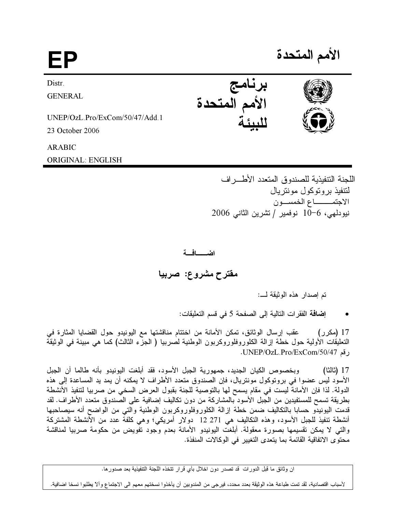| EP                             |               | الأمم المتحدة |
|--------------------------------|---------------|---------------|
| Distr.                         | برنامج        |               |
| <b>GENERAL</b>                 | الأمم المتحدة |               |
| UNEP/OzL.Pro/ExCom/50/47/Add.1 |               |               |
| 23 October 2006                |               |               |

**ARABIC** 

**ORIGINAL: ENGLISH** 

اللجنة التتفيذية للصندوق المتعدد الأطـــراف لتتفيذ بروتوكول مونتريال الاجتمــــــــاع الخمســـون نيودلهي، 6−10 نوفمير / تشرين الثاني 2006

اضــــافــة

مقترح مشروع: صربيا

تم إصدار هذه الوثيقة لــــ:

إضافة الفقرات التالية إلى الصفحة 5 في قسم التعليقات:

عقب إرسال الوثائق، تمكن الأمانة من اختتام مناقشتها مع اليونيدو حول القضايا المثارة في 17 (مکر ر ) التعليقات الأولية حول خطة إزالة الكلوروفلوروكربون الوطنية لصربيا ( الجزّء الثالث) كما هي مبينة في الوثيقة رقم UNEP/OzL.Pro/ExCom/50/47.

وبخصوص الكيان الجديد، جمهورية الجبل الأسود، فقد أبلغت اليونيدو بأنه طالما أن الجبل 17 (ثالثا) الأسود ليس عضوا في بروتوكول مونتريال، فإن الصندوق متعدد الأطراف لا يمكنه أن يمد يد المساعدة إلى هذه الدولة. لذا فإن الأمانة ليست في مقام يسمح لها بالتوصية للجنة بقبول العرض السخى من صربيا لتنفيذ الأنشطة بطريقة تسمح للمستفيدين من الجبل الأسود بالمشاركة من دون تكاليف إضافية على الصندوق متعدد الأطراف. لقد قدمت اليونيدو حسابا بالتكاليف ضمن خطة إزالة الكلوروفلوروكربون الوطنية والتي من الواضح أنه سيصاحبها أنشطة تنفيذ للجبل الأسود، وهذه النكاليف هي 271 12 دولار أمريكي؛ وهي كلفة عدد من الأنشطة المشتركة والتـَّى لا يمكن تقسيمها بصـورة معقولة. أبلغت اليونيدو الأمانة بعدم وجود تفويض من حكومة صربيا لمناقشة محتوى الاتفاقية القائمة بما يتعدى التغيير في الوكالات المنفذة.

ان وثائق ما قبل الدورات قد تصدر دون اخلال بأي قرار تتخذه اللجنة التنفيذية بعد صدور ها.

لأسباب اقتصادية، لقد تمت طباعة هذه الوثيقة بعدد محدد، فيرجى من المندوبين أن يأخذوا نسختهم معهم الى الاجتماع وألآ يطلبوا نسخا اضافية.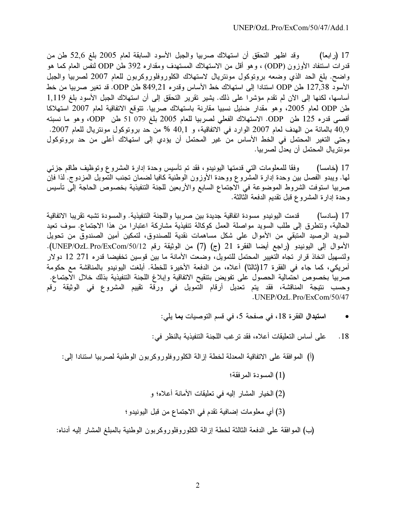وقد اظهر التحقق أن استهلاك صربيا والجبل الأسود السابقة لعام 2005 بلغ 52٫6 طن من 17 (ر ابعاً) قدرات استنفاد الأوزون (ODP) ، وهو أقل من الاستهلاك المستهدف ومقداره 392 طن ODP لنفس العام كما هو واضح. بلغ الحد الذي وضعه بروتوكول مونتريال لاستهلاك الكلوروفلوروكربون للعام 2007 لصربيا والجبل الأسود 127,38 طن ODP استنادا إلى استهلاك خط الأساس وقدره 849,21 طن ODP. قد تغير صربيا من خط أساسها، لكنها إلى الآن لم تقدم مؤشرا على ذلك. يشير تقرير التحقق إلى أن استهلاك الجبل الأسود بلغ 1,119 طن ODP لعام 2005، وهو مقدار ضئيل نسبيا مقارنة باستهلاك صربيا. تتوقع الاتفاقية لعام 2007 استهلاكا أقصبي قدره 125 طن ODP. الاستهلاك الفعلي لصربيا للعام 2005 بلغ 079 51 طن ODP، وهو ما نسبته 40٫9 بالمائة من الهدف لعام 2007 الوارد في الاتفاقية، و 40٫1 % من حد بروتوكول مونتريال للعام 2007. وحتى التغير المحتمل في الخط الأساس من غير المحتمل أن يؤدي إلى استهلاك أعلى من حد بروتوكول مونتريال المحتمل أن يعدل لصربيا.

وفقا للمعلومات التبي قدمتها اليونيدو، فقد تم تأسيس وحدة إدارة المشروع وتوظيف طاقم جزئبي 17 (خامساً) لمها. ويبدو الفصل بين وحدة إدارة المشروع ووحدة الأوزون الوطنية كافيا لضمان تجنب التمويل المزدوج. لذا فإن صربيا استوفت الشروط الموضوعة فى الاجتماع السابع والأربعين للجنة التنفيذية بخصوص الحاجة إلى تأسيس وحدة إدارة المشروع قبل تقديم الدفعة الثالثة.

17 (سادساً) قدمت اليونيدو مسودة اتفاقية جديدة بين صربيا واللجنة التنفيذية. والمسودة تشبه تقريبا الاتفاقية الحالية، وتتطرق إلى طلب السويد مواصلة العمل كوكالة تنفيذية مشاركة اعتبارا من هذا الاجتماع. سوف تعيد السويد الرصيد المتبقى من الأموال على شكل مساهمات نقدية للصندوق، لتمكين أمين الصندوق من تحويل الأموال إلى اليونيدو (راجع أيضا الفقرة 21 (ج) (7) من الوثيقة رقم UNEP/OzL.Pro/ExCom/50/12). ولتسهيل اتخاذ قرار تجاه التغيير المحتمل للتمويل، وضعت الأمانة ما بين قوسين تخفيضا قدره 271 12 دولار أمريكي، كما جاء في الفقرة 17(ثالثاً) أعلاه، من الدفعة الأخيرة للخطة. أبلغت اليونيدو بالمناقشة مع حكومة صربياً بخصوص احتمالية الحصول على تفويض بتنقيح الاتفاقية وإبلاغ اللجنة التنفيذية بذلك خلال الاجتماع. وحسب نتيجة المناقشة، فقد يتم تعديل أرقام التمويل في ورقة تقييم المشروع في الوثيقة رقم  $JINEP/OzL$  Pro/ExCom/50/47

- استبدال الفقر ة 18، في صفحة 5، في قسم التوصيات بما يلي:  $\bullet$
- على أساس التعليقات أعلاه، فقد ترغب اللجنة التنفيذية بالنظر في:  $.18$
- (أ) الموافقة على الاتفاقية المعدلة لخطة إزالة الكلوروفلوروكربون الوطنية لصربيا استنادا إلى:
	- (1) المسودة المرفقة؛
	- (2) الخيار المشار إليه في تعليقات الأمانة أعلاه؛ و
	- (3) أي معلومات إضافية تقدم في الاجتماع من قبل اليونيدو ؛

(ب) الموافقة على الدفعة الثالثة لخطة إزالة الكلوروفلوروكربون الوطنية بالمبلغ المشار إليه أدناه: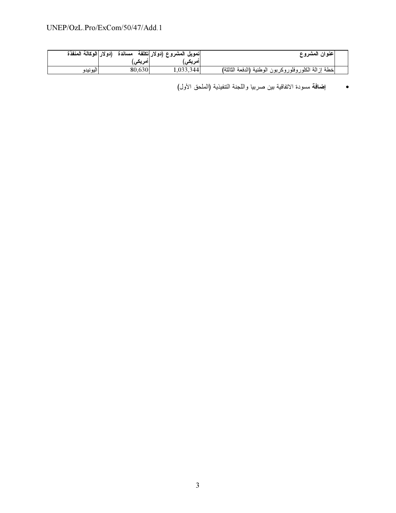| (دولار الوكالة المنفذة | مساندة  | تمويل المشروع (دولار تكلفة | عنوان المشروع                                        |
|------------------------|---------|----------------------------|------------------------------------------------------|
|                        | امریکی. | امریک <i>ی</i> ,           |                                                      |
| اليونيدو               | 80.630  | 1,033,344                  | خطة إزالة الكلوروفلوروكربون الوطنية (الدفعة الثالثة) |

• إضافة مسودة الاتفاقية بين صربيا واللجنة التنفيذية (الملحق الأول)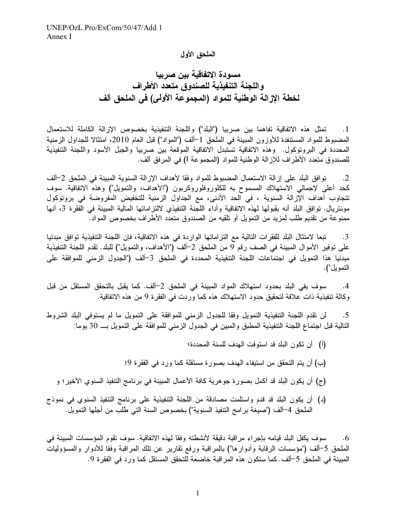### الملحق الأول

مسودة الاتفاقية بين صربيا واللجنة التنفيذية للصندوق متعدد الأطراف لخطة الإزالة الوطنية للمواد (المجموعة الأولى) في الملحق ألف

1. تمثل هذه الاتفاقية تفاهما بين صربيا ("البلد") واللجنة التنفيذية بخصوص الإزالة الكاملة للاستعمال المضبوط للمواد المستنفدة للأوزون المبينة في الملحق 1–ألف ("المواد") قبل العام 2010، امتثالا للجداول الزمنية المحددة في البرونوكول. وهذه الاتفاقية تستبدل الاتفاقية الموقعة بين صربيا والجبل الأسود واللجنة التنفيذية للصندوق متعدد الاطراف للإزالة الوطنية للمواد (المجموعة I) في المرفق الف.

2. توافق البلد على إزالة الاستعمال المضبوط للمواد وفقا لأهداف الإزالة السنوية المبينة في الملحق 2–ألف كحد أعلى لإجمالي الاستهلاك المسموح به للكلوروفلوروكربون ("الأهداف، والتمويل") وهذه الاتفاقية. سوف تتجاوب أهداف الإزالة السنوية ، في الحد الأدنى، مع الجداول الزمنية للتخفيض المفروضة في بروتوكول مونتريال. توافق البلد أنه بقبولها لهذه الاتفاقية وأداء اللجنة التنفيذي لالتزاماتها المالية المبينة في الفقرة 3، أنها ممنوعة من تقديم طلب لمزيد من التمويل أو تلقيه من الصندوق متعدد الاطراف بخصوص المواد.

3. تبعا لامتثال البلد للفقرات التالية مع التزاماتها الواردة في هذه الاتفاقية، فإن اللجنة التنفيذية توافق مبدئيا على توفير الأموال المبينة في الصف رقم 9 من الملحق 2–ألف ("الأهداف، والتمويل") للبلد. تقدم اللجنة التنفيذية مبدئيا هذا التمويل في اجتماعات اللجنة التنفيذية المحددة في الملحق 3–ألف ("الجدول الزمني للموافقة على التمويل").

4. سوف يفي البلد بحدود استهلاك المواد المبينة في الملحق 2–ألف. كما يقبل بالتحقق المستقل من قبل وكالة تنفيذية ذات علاقة لتحقيق حدود الاستهلاك هذه كما وردت في الفقرة 9 من هذه الاتفاقية.

5. لن نقدم اللجنة التنفيذية النمويل وفقا للجدول الزمني للموافقة على التمويل ما لم يستوفي البلد الشروط التالية قبل اجتماع اللجنة التنفيذية المطبق والمبين في الجدول الزمني للموافقة على التمويل بـــ 30 يوما:

- (أ) أن تكون البلد قد استوفت المهدف للسنة المحددة؛
- (ب) أن يتم التحقق من استيفاء الهدف بصورة مستقلة كما ورد في الفقرة 9؛
- (ج) أن يكون البلد قد أكمل بصورة جوهرية كافة الأعمال المبينة في برنامج التنفيذ السنوي الأخير ؛ و
- (د) أن يكون البلد قد قدم واستلمت مصادقة من اللجنة التنفيذية على برنامج التنفيذ السنوي في نموذج الملحق 4–ألف ("صيغة بر امج التنفيذ السنوية") بخصوص السنة التي طلب من أجلها التمويل.

6. سوف يكفل البلد قيامه بإجراء مراقبة دقيقة لأنشطته وفقا لهذه الاتفاقية. سوف تقوم المؤسسات المبينة في الملحق 5–ألف ("مؤسسات الرقابة وأدوار ها") بالمراقبة ورفع نقارير عن نلك المراقبة وفقا للأدوار والمسؤوليات المبينة في الملحق 5–ألف. كما ستكون هذه المر اقبة خاضعة للتحقق المستقل كما ورد في الفقرة 9.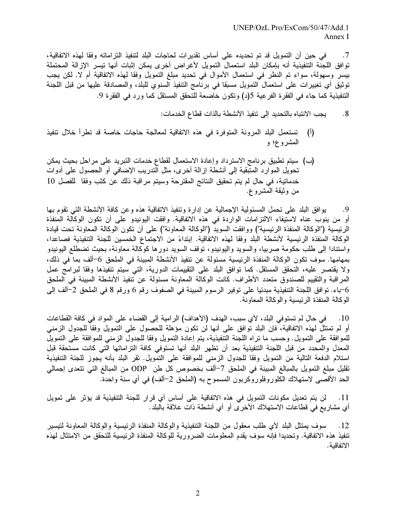في حين أن التمويل قد تم تحديده على أساس تقديرات لحاجات البلد لتنفيذ التزاماته وفقا لهذه الاتفاقية،  $\cdot$ .7 توافق اللجنة التنفيذية أنه بإمكان البلد استعمال التمويل لأغراض أخرى يمكن إثبات أنها تيسر الإزالة المحتملة بيسر وسهولة، سواء تم النظر في استعمال الأموال في تحديد مبلغ التمويل وفقا لهذه الاتفاقية أم لا. لكن يجب توثيق أي تغييرات على استعمال التمويل مسبقا في برنامج التنفيذ السنوي للبلد، والمصادقة عليها من قبل اللجنة التنفيذية كما جاء في الفقرة الفرعية 5(د) وتكون خاضعة للتحقق المستقل كما ورد في الفقرة 9.

> يجب الانتباه بالتحديد إلى تنفيذ الأنشطة بالذات قطاع الخدمات:  $.8$

- تستعمل البلد المرونة المتوفرة في هذه الاتفاقية لمعالجة حاجات خاصة قد تطرأ خلال تتفيذ  $\left( \begin{matrix} 1 \\ 1 \end{matrix} \right)$ المشروع؛ و
- (ب) سيتم تطبيق برنامج الاسترداد وإعادة الاستعمال لقطاع خدمات التبريد على مراحل بحيث يمكن تحويل الموارد المتبقية إلى أنشطة إزالة أخرى، مثل التدريب الإضافي أو الحصول على أدوات خدماتية، في حال لم يتم تحقيق النتائج المقترحة وسيتم مراقبة ذلك عن كثب وفقا للفصل 10 من وثيقة المشرو ع.

يوافق البلد على تحمل المسئولية الإجمالية عن إدارة وتنفيذ الاتفاقية هذه وعن كافة الأنشطة التي تقوم بها .9 أو من ينوب عناه لاستيفاء الالتزامات الواردة في هذه الاتفاقية. وافقت اليونيدو على أن تكون الوكالة المنفذة الرئيسية ("الوكالة المنفذة الرئيسية") ووافقت السويد ("الوكالة المعاونة") على أن تكون الوكالة المعاونة تحت قيادة الوكالة المنفذة الرئيسية لأنشطة البلد وفقا لهذه الاتفاقية. إبتداءً من الاجتماع الخمسين للجنة التنفيذية فصاعدا، واستنادا إلى طلب حكومة صربيا، والسويد واليونيدو، نوقف السويد دورها كوكالة معاونة، بحيث تضطلع اليونيدو بمهامها. سوف تكون الوكالة المنفذة الرئيسية مسئولة عن تنفيذ الأنشطة المبينة في الملحق 6–ألف بما في ذلك، ولا يقتصر عليه، التحقق المستقل. كما نوافق البلد على التقييمات الدورية، التي سيتم تنفيذها وفقا لبرامج عمل المراقبة والتقييم للصندوق متعدد الأطراف. كانت الوكالة المعاونة مسئولة عن تنفيذ الأنشطة المبينة في الملحق 6–باء. توافق اللجنة التنفيذية مبدئيا على توفير الرسوم المبينة في الصفوف رقع 6 ورقع 8 في الملحق 2–ألف إلى الوكالة المنفذة الرئيسية والوكالة المعاونة.

في حال لم تستوفي البلد، لأي سبب، الهدف (الأهداف) الرامية إلى القضاء على المواد في كافة القطاعات  $.10$ أو لم تمتثلٌ لمهذه الاتفاقية، فإن البلد توافق على أنها لن تكون مؤهلة للحصول على التمويل وفقاً للجدول الزمني للموافقة على التمويل. وحسب ما نراه اللجنة التنفيذية، يتم إعادة التمويل وفقا للجدول الزمني للموافقة على التمويل المعدل والمحدد من قبل اللجنة التنفيذية بعد أن تظهر البلد أنها تستوفي كافة التزاماتها التي كانت مستحقة قبل استلام الدفعة التالية من التمويل وفقا للجدول الزمني للموافقة على التمويل. نقر البلد بأنه يجوز للجنة التنفيذية نقليل مبلغ التمويل بالمبالغ المبينة في الملحق 7-ألف بخصوص كل طن ODP من المبالغ التي تتعدى إجمالي الحد الأقصـي لاستهلاك الكلوروفلوروكربون المسموح به (الملحق 2–ألف) في أي سنة واحدة.

لن يتم تعديل مكونات التمويل في هذه الاتفاقية على أساس أي قرار للجنة التنفيذية قد يؤثر على تمويل  $.11$ أي مشاريع في قطاعات الاستهلاك الأخرى أو أي أنشطة ذات علاقة بالبلد.

سوف يمتثل البلد لأي طلب معقول من اللجنة التنفيذية والوكالة المنفذة الرئيسية والوكالة المعاونة لتيسير .12 تنفيذ هذه الاتفاقية. وتحديدا فإنه سوف يقدم المعلومات الضرورية للوكالة المنفذة الرئيسية للتحقق من الامتثال لهذه الاتفاقية.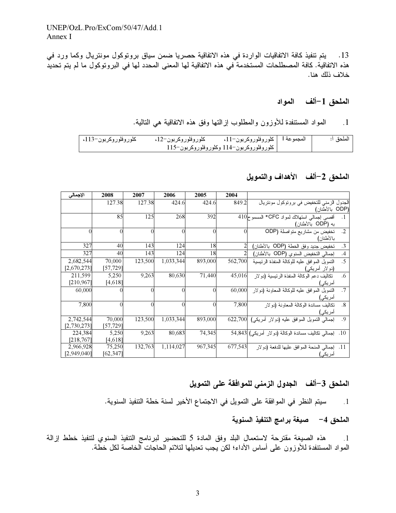يتم تنفيذ كافة الاتفاقيات الواردة في هذه الاتفاقية حصريا ضمن سياق بروتوكول مونتريال وكما ورد في  $\cdot$ 13 هذه الاتفاقية. كافة المصطلحات المستخدمة في هذه الاتفاقية لها المعنى المحدد لها في البروتوكول ما لم يتم تحديد خلاف ذلك هنا.

### الملحق 1–ألف المواد

#### المواد المستنفدة للأوزون والمطلوب إزالتها وفق هذه الاتفاقية هي التالية.  $\overline{\phantom{0}}$ .1

| كلوروفلوروكربون–113، | كلوروفلوروكربون–12، | المجموعة l   كلوروفلوروكربون−11،         | الملحة أ: |
|----------------------|---------------------|------------------------------------------|-----------|
|                      |                     | كلوروفلوروكربون−114 وكلوروفلوروكربون−115 |           |

### الملحق 2–ألف الأهداف والتمويل

| الإجمالي    | 2008      | 2007     | 2006      | 2005     | 2004     |                                                                  |
|-------------|-----------|----------|-----------|----------|----------|------------------------------------------------------------------|
|             | 127.38    | 127.38   | 424.6     | 424.6    | 849.2    | الجدول الزمني للتخفيض في برونوكول موننزيال                       |
|             |           |          |           |          |          | (ODP بالأطنان)                                                   |
|             | 85        | 125      | 268       | 392      |          | أقصبي إجمالي استهلاك لمواد CFC* المسموح10                        |
|             |           |          |           |          |          | به (ODP بالأطنان)                                                |
| $\Omega$    | $\theta$  | $\Omega$ | $\Omega$  | $\Omega$ | $\Omega$ | $\cdot$ .2<br>تخفيض من مشاريع متواصلة (ODP                       |
|             |           |          |           |          |          | بالأطنان)                                                        |
| 327         | 40        | 143      | 124       | 18       |          | $\cdot$ 3<br>تخفيض جديد وفق الخطة (ODP  بالأطنان)                |
| 327         | 40        | 143      | 124       | 18       |          | إجمالي النخفيض السنوي (ODP بالأطنان)<br>.4                       |
| 2,682,544   | 70,000    | 123,500  | 1,033,344 | 893,000  | 562,700  | $\overline{.5}$<br>النمويل الموافق عليه للوكالة المنفذة الرئيسية |
| [2,670,273] | [57,729]  |          |           |          |          | (دو لار أمريكي)                                                  |
| 211,599     | 5,250     | 9,263    | 80,630    | 71,440   | 45,016   | تكاليف دعم الوكالة المنفذة الرئيسية (دولار<br>.6                 |
| [210, 967]  | [4,618]   |          |           |          |          | امریکی)                                                          |
| 60,000      |           |          | $\Omega$  | $\Omega$ | 60,000   | .7<br>النمويل الموافق عليه للوكالة المعاونة (دولار               |
|             |           |          |           |          |          | امریکی)                                                          |
| 7,800       | $\theta$  | $\Omega$ | $\Omega$  | $\Omega$ | 7,800    | .8<br>نكاليف مساندة الوكالة المعاونة (دولار                      |
|             |           |          |           |          |          | امریکی)                                                          |
| 2,742,544   | 70,000    | 123,500  | 1,033,344 | 893,000  | 622,700  | إجمالي النمويل الموافق عليه (دولار أمريكي)<br>.9                 |
| [2,730,273] | [57,729]  |          |           |          |          |                                                                  |
| 224,384     | 5,250     | 9,263    | 80,683    | 74,345   |          | إجمالي نكاليف مساندة الوكالة (دولار أمريكي) [54,843<br>.10       |
| [218, 767]  | [4,618]   |          |           |          |          |                                                                  |
| 2,966,928   | 75,250    | 132,763  | 1,114,027 | 967,345  | 677,543  | إجمالي المنحة الموافق عليها للدفعة (دولار<br>.11                 |
| [2,949,040] | [62, 347] |          |           |          |          | أمريكي)                                                          |

# الملحق 3–ألف الجدول الزمني للموافقة على التمويل

1. سيتم النظر في الموافقة على التمويل في الاجتماع الأخير لسنة خطة التنفيذ السنوية.

## الملحق 4– صيغة برامج التنفيذ السنوية

هذه الصيغة مقترحة لاستعمال البلد وفق المادة 5 للتحضير لبرنامج التنفيذ السنوي لتنفيذ خطط إزالة  $\overline{\phantom{0}}$ .1 المواد المستنفدة للأوزون على أساس الأداء؛ لكن يجب تعديلها لتلائم الحاجات الخاصة لكل خطة.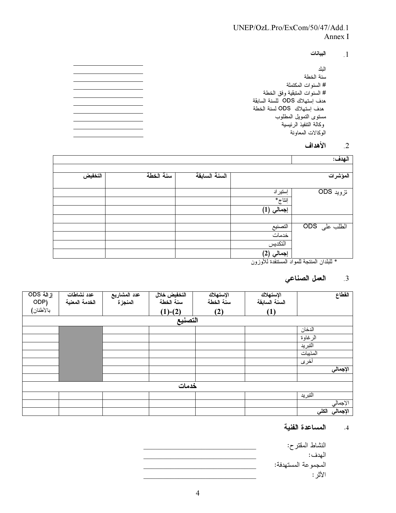## UNEP/OzL.Pro/ExCom/50/47/Add.1 Annex I

البيانات  $\cdot$ 1

| الىك                          |
|-------------------------------|
| سنة الخطة                     |
| # السنو ات المكتملة           |
| # السنو ات المتبقية وفق الخطة |
| هدف استهلاك ODS للسنة السابقة |
| هدف استهلاك ODS لسنة الخطة    |
| مستوى التمويل المطلوب         |
| وكالة التنفيذ الرئيسية        |
| الوكالات المعاونة             |
|                               |

#### الأهداف  $\overline{2}$

| الـهدف:                                     |            |               |           |         |
|---------------------------------------------|------------|---------------|-----------|---------|
|                                             |            |               |           |         |
| المؤشرات                                    |            | السنة السابقة | سنة الخطة | التخفيض |
| تزوید ODS                                   | إستير اد   |               |           |         |
|                                             | إنتاج*     |               |           |         |
|                                             | (1) إجمالي |               |           |         |
|                                             |            |               |           |         |
| الطلب على ODS                               | التصنيع    |               |           |         |
|                                             | خدمات      |               |           |         |
|                                             | التكديس    |               |           |         |
|                                             | (2) إجمالي |               |           |         |
| * الدادان المنتجة المعاد المستنفدة الأمزمين |            |               |           |         |

نفدة للاوزون جة للمواد الم

# 3. العمل الصناعي

| إزالة ODS<br>ODP) | عدد نشاطات<br>الخدمة المعنية | عدد المشاريع<br>المنجز ة | التخفيض خلال<br>سنة الخطة | الإستهلاك<br>سنة الخطة | الإستهلاك<br>السنة السابقة | الفطاع                         |
|-------------------|------------------------------|--------------------------|---------------------------|------------------------|----------------------------|--------------------------------|
| بالأطنان)         |                              |                          | $(1)-(2)$                 | (2)                    | (1)                        |                                |
|                   |                              |                          | التصنيع                   |                        |                            |                                |
|                   |                              |                          |                           |                        |                            | الدخان                         |
|                   |                              |                          |                           |                        |                            | الرغاوة                        |
|                   |                              |                          |                           |                        |                            | التبريد                        |
|                   |                              |                          |                           |                        |                            | المذيبات                       |
|                   |                              |                          |                           |                        |                            | أخرى                           |
|                   |                              |                          |                           |                        |                            | الإجمالي                       |
|                   |                              |                          |                           |                        |                            |                                |
|                   |                              |                          | خدمات                     |                        |                            |                                |
|                   |                              |                          |                           |                        |                            | التبريد                        |
|                   |                              |                          |                           |                        |                            | الإجمالي                       |
|                   |                              |                          |                           |                        |                            | الإجمال <i>ي</i> الكل <i>ي</i> |

#### المساعدة الفنية  $\cdot$ 4

النشاط المقتر ح: الهدف: المجموعة المستهدفة: الأثر :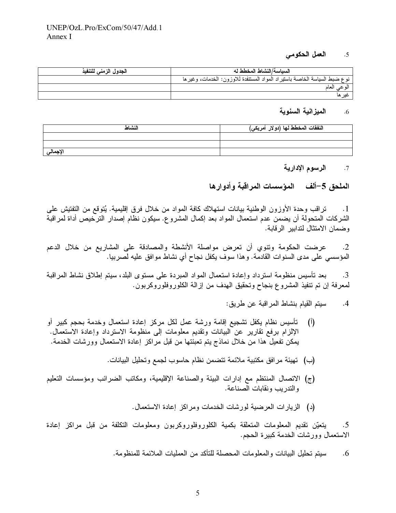#### العمل الحكومي  $.5$

| الجدول الزمنى للتنفيذ | السباسة/النشاط المخطط له                                                  |
|-----------------------|---------------------------------------------------------------------------|
|                       | نوع ضبط السياسة الخاصة باستيراد المواد المستنفدة للاوزون: الخدمات، وغيرها |
|                       | اله عبر العاد                                                             |
|                       | عد ها                                                                     |

#### الميزانية السنوية  $.6$

| النشاط   | النففات المخطط لها (دولار أمريك <i>ي)</i> |
|----------|-------------------------------------------|
|          |                                           |
|          |                                           |
| الإجمالي |                                           |

#### الرسوم الإدارية  $.7$

الملحق 5–ألف المؤسسات المراقبة وأدوارها

تراقب وحدة الأوزون الوطنية بيانات استهلاك كافة المواد من خلال فرق إقليمية. يُتوقع من التفتيش على  $\cdot$ 1 الشركات المتحولة أن يضمن عدم استعمال المواد بعد إكمال المشروع. سيكون نظام إصدار الترخيص أداة لمراقبة وضمان الامتثال لتدابير الرقابة.

عرضت الحكومة وتنوي أن تعرض مواصلة الأنشطة والمصادقة على المشاريع من خلال الدعم  $\cdot$ .2 المؤسسى على مدى السنوات القادمة. وهذا سوف يكفل نجاح أي نشاط موافق عليه لصربيا.

بعد تأسيس منظومة استرداد وإعادة استعمال المواد المبردة على مستوى البلد، سيتم إطلاق نشاط المراقبة  $\cdot$ 3 لمعرفة إن تم تنفيذ المشروع بنجاح وتحقيق المهدف من إزالة الكلوروفلوروكربون.

- سيتم القيام بنشاط المر اقبة عن طريق:  $\cdot$ .4
- تأسيس نظام يكفل نشجيع إقامة ورشة عمل لكل مركز إعادة استعمال وخدمة بحجم كبير أو  $\sqrt{ }$ الإلزام برفعٌ تقاريرٍ عن البيانات وتقديم معلومات إلى منظومة الاسترداد وإعادة الاستعمال. يمكن تفعيل هذا من خلال نماذج يتم تعبئتها من قبل مراكز إعادة الاستعمال وورشات الخدمة.
	- (ب) تهيئة مرافق مكتبية ملائمة تتضمن نظام حاسوب لجمع وتحليل البيانات.
- (ج) الاتصال المنتظم مع إدارات البيئة والصناعة الإقليمية، ومكاتب الضرائب ومؤسسات التعليم والندر يب ونقابات الصناعة.
	- (د) الزيارات العرضية لورشات الخدمات ومراكز إعادة الاستعمال.

يتعيّن تقديم المعلومات المتعلّقة بكمية الكلوروفلوروكربون ومعلومات التكلفة من قبل مراكز إعادة  $.5$ الاستعمال وورشات الخدمة كبيرة الحجم.

> سيتم تحليل البيانات والمعلومات المحصلة للتأكد من العمليات الملائمة للمنظومة.  $.6$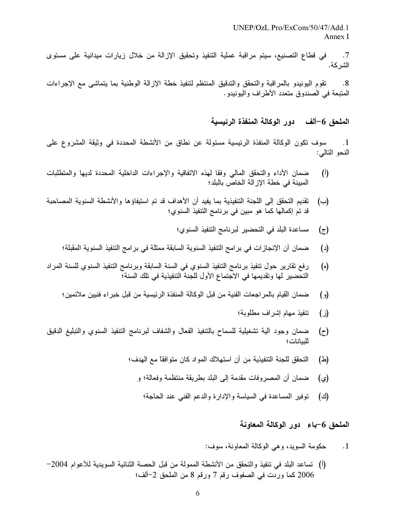7. في قطاع التصنيع، سيتم مراقبة عملية التنفيذ وتحقيق الإزالة من خلال زيارات ميدانية على مستوى الشركة.

8. تقوم اليونيدو بالمراقبة والتحقق والتدقيق المنتظم لتنفيذ خطة الإزالة الوطنية بما يتماشى مع الإجراءات المتبعة في الصندوق متعدد الأطراف واليونيدو .

الملحق 6–ألف دور الوكالة المنفذة الرئيسية

1. سوف تكون الوكالة المنفذة الرئيسية مسئولة عن نطاق من الأنشطة المحددة في وثيقة المشروع على النحو التالي:

- (أ) ضمان الأداء والتحقق المالي وفقا لمهذه الاتفاقية والإجراءات الداخلية المحددة لديها والمتطلبات المبينة في خطة الإز الة الخاص بالبلد؛
- (ب) تقديم التحقق إلى اللجنة التنفيذية بما يفيد أن الأهداف قد تم استيفاؤها والأنشطة السنوية المصاحبة قد تم إكمالها كما هو مبين في برنامج التنفيذ السنوي؛
	- (ج) مساعدة البلد في التحضير لبرنامج التنفيذ السنوي؛
	- (د) ضمان أن الإنجازات في برامج التنفيذ السنوية السابقة ممثلة في برامج التنفيذ السنوية المقبلة؛
- (ه) رفع تقارير حول تنفيذ برنامج التنفيذ السنوي في السنة السابقة وبرنامج التنفيذ السنوي للسنة المراد التحضير لمها وتقديمها في الاجتماع الأول للجنة التنفيذية في تلك السنة؛
	- (و ) ضمان القيام بالمر اجعات الفنية من قبل الوكالة المنفذة الرئيسية من قبل خبر اء فنيين ملائمين؛
		- (ز) نتفيذ مهام إشراف مطلوبة؛
- (ح) ضمان وجود الية تشغيلية للسماح بالتنفيذ الفعال والشفاف لبرنامج النتفيذ السنوي والتبليغ الدقيق للبيانات ؛
	- (ط) التحقق للجنة التنفيذية من أن استهلاك المواد كان متوافقاً مع الهدف؛
		- (ي) ضمان أن المصروفات مقدمة إلى البلد بطريقة منتظمة وفعالة؛ و
			- (ك) توفير المساعدة في السياسة والإدارة والدعم الفني عند الحاجة؛

الملحق 6–باء دور الوكالة المعاونة

1. حكومة السويد، وهي الوكالة المعاونة، سوف:

(أ) تساعد البلد في تنفيذ والتحقق من الأنشطة الممولة من قبل الحصـة الثنائية السويدية للأعوام 2004– 2006 كما وردت في الصفوف رقم 7 ورقم 8 من الملحق 2–ألف؛